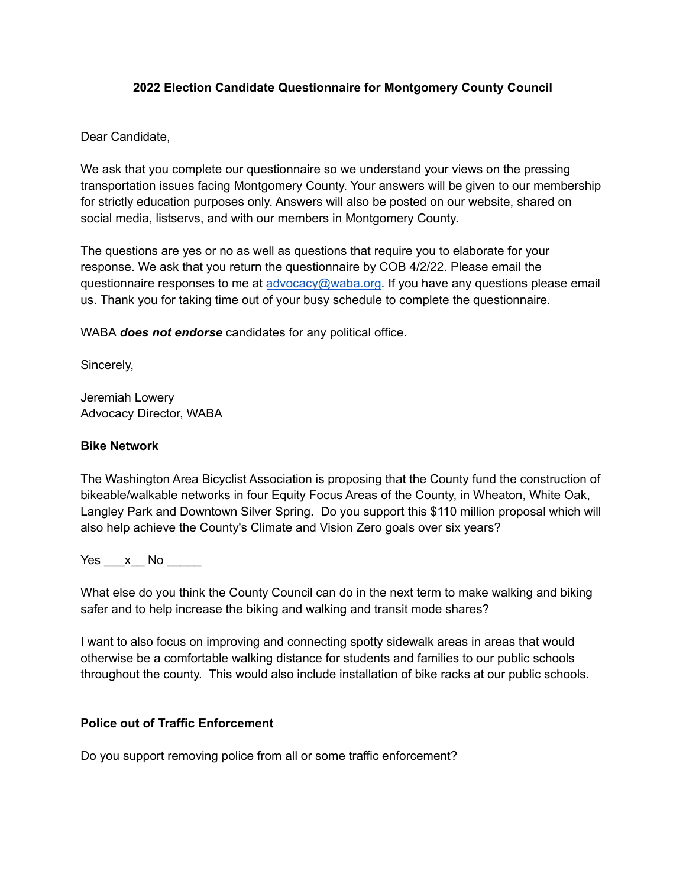## **2022 Election Candidate Questionnaire for Montgomery County Council**

## Dear Candidate,

We ask that you complete our questionnaire so we understand your views on the pressing transportation issues facing Montgomery County. Your answers will be given to our membership for strictly education purposes only. Answers will also be posted on our website, shared on social media, listservs, and with our members in Montgomery County.

The questions are yes or no as well as questions that require you to elaborate for your response. We ask that you return the questionnaire by COB 4/2/22. Please email the questionnaire responses to me at [advocacy@waba.org](mailto:advocacy@waba.org). If you have any questions please email us. Thank you for taking time out of your busy schedule to complete the questionnaire.

WABA *does not endorse* candidates for any political office.

Sincerely,

Jeremiah Lowery Advocacy Director, WABA

## **Bike Network**

The Washington Area Bicyclist Association is proposing that the County fund the construction of bikeable/walkable networks in four Equity Focus Areas of the County, in Wheaton, White Oak, Langley Park and Downtown Silver Spring. Do you support this \$110 million proposal which will also help achieve the County's Climate and Vision Zero goals over six years?

Yes x No  $\blacksquare$ 

What else do you think the County Council can do in the next term to make walking and biking safer and to help increase the biking and walking and transit mode shares?

I want to also focus on improving and connecting spotty sidewalk areas in areas that would otherwise be a comfortable walking distance for students and families to our public schools throughout the county. This would also include installation of bike racks at our public schools.

## **Police out of Traffic Enforcement**

Do you support removing police from all or some traffic enforcement?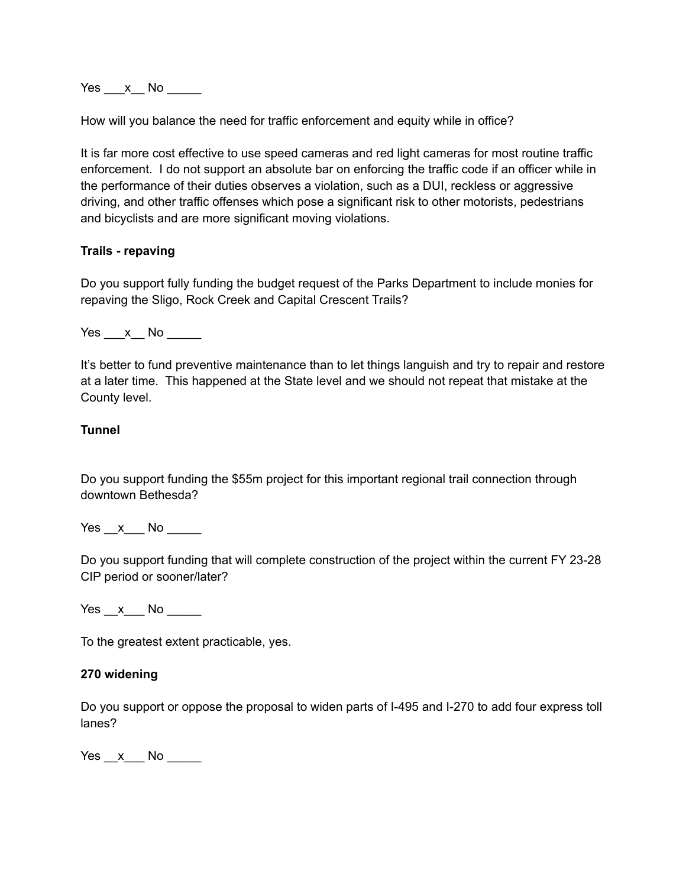Yes x No  $\blacksquare$ 

How will you balance the need for traffic enforcement and equity while in office?

It is far more cost effective to use speed cameras and red light cameras for most routine traffic enforcement. I do not support an absolute bar on enforcing the traffic code if an officer while in the performance of their duties observes a violation, such as a DUI, reckless or aggressive driving, and other traffic offenses which pose a significant risk to other motorists, pedestrians and bicyclists and are more significant moving violations.

### **Trails - repaving**

Do you support fully funding the budget request of the Parks Department to include monies for repaving the Sligo, Rock Creek and Capital Crescent Trails?

 $Yes \_ x \_ No \_$ 

It's better to fund preventive maintenance than to let things languish and try to repair and restore at a later time. This happened at the State level and we should not repeat that mistake at the County level.

### **Tunnel**

Do you support funding the \$55m project for this important regional trail connection through downtown Bethesda?

Yes x No  $\overline{a}$ 

Do you support funding that will complete construction of the project within the current FY 23-28 CIP period or sooner/later?

Yes x No  $\overline{a}$ 

To the greatest extent practicable, yes.

#### **270 widening**

Do you support or oppose the proposal to widen parts of I-495 and I-270 to add four express toll lanes?

 $Yes \_\ x \_\$  No  $\_\_\_\$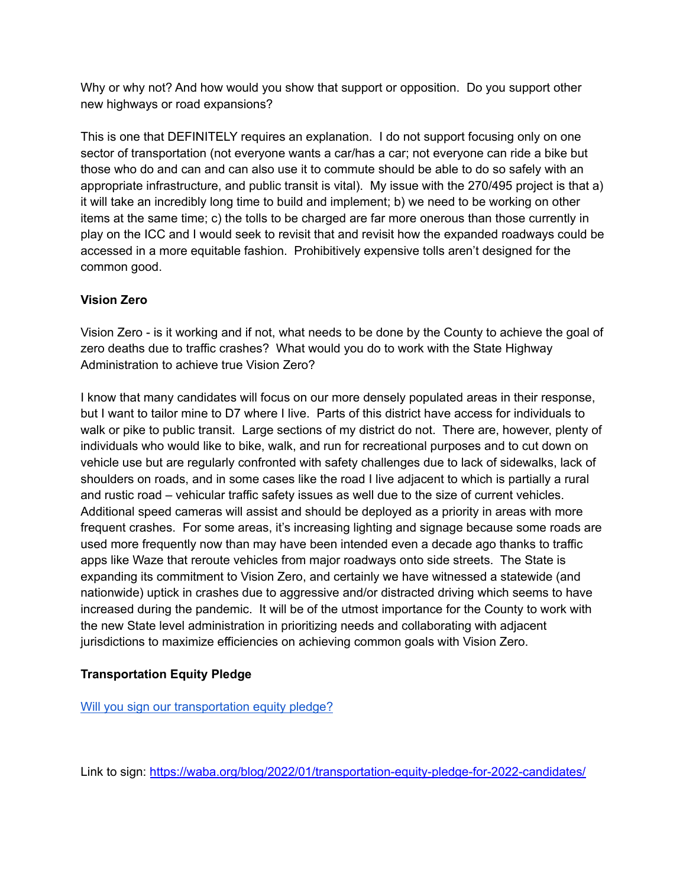Why or why not? And how would you show that support or opposition. Do you support other new highways or road expansions?

This is one that DEFINITELY requires an explanation. I do not support focusing only on one sector of transportation (not everyone wants a car/has a car; not everyone can ride a bike but those who do and can and can also use it to commute should be able to do so safely with an appropriate infrastructure, and public transit is vital). My issue with the 270/495 project is that a) it will take an incredibly long time to build and implement; b) we need to be working on other items at the same time; c) the tolls to be charged are far more onerous than those currently in play on the ICC and I would seek to revisit that and revisit how the expanded roadways could be accessed in a more equitable fashion. Prohibitively expensive tolls aren't designed for the common good.

# **Vision Zero**

Vision Zero - is it working and if not, what needs to be done by the County to achieve the goal of zero deaths due to traffic crashes? What would you do to work with the State Highway Administration to achieve true Vision Zero?

I know that many candidates will focus on our more densely populated areas in their response, but I want to tailor mine to D7 where I live. Parts of this district have access for individuals to walk or pike to public transit. Large sections of my district do not. There are, however, plenty of individuals who would like to bike, walk, and run for recreational purposes and to cut down on vehicle use but are regularly confronted with safety challenges due to lack of sidewalks, lack of shoulders on roads, and in some cases like the road I live adjacent to which is partially a rural and rustic road – vehicular traffic safety issues as well due to the size of current vehicles. Additional speed cameras will assist and should be deployed as a priority in areas with more frequent crashes. For some areas, it's increasing lighting and signage because some roads are used more frequently now than may have been intended even a decade ago thanks to traffic apps like Waze that reroute vehicles from major roadways onto side streets. The State is expanding its commitment to Vision Zero, and certainly we have witnessed a statewide (and nationwide) uptick in crashes due to aggressive and/or distracted driving which seems to have increased during the pandemic. It will be of the utmost importance for the County to work with the new State level administration in prioritizing needs and collaborating with adjacent jurisdictions to maximize efficiencies on achieving common goals with Vision Zero.

# **Transportation Equity Pledge**

[Will you sign our transportation equity pledge?](https://waba.org/blog/2022/01/transportation-equity-pledge-for-2022-candidates/)

Link to sign: <https://waba.org/blog/2022/01/transportation-equity-pledge-for-2022-candidates/>